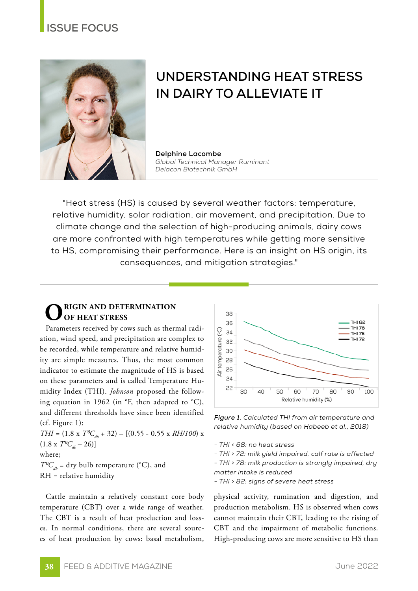## **ISSUE FOCUS**



# **UNDERSTANDING HEAT STRESS IN DAIRY TO ALLEVIATE IT**

**Delphine Lacombe** *Global Technical Manager Ruminant Delacon Biotechnik GmbH*

"Heat stress (HS) is caused by several weather factors: temperature, relative humidity, solar radiation, air movement, and precipitation. Due to climate change and the selection of high-producing animals, dairy cows are more confronted with high temperatures while getting more sensitive to HS, compromising their performance. Here is an insight on HS origin, its consequences, and mitigation strategies."

### **ORIGIN AND DETERMINATION OF HEAT STRESS**

Parameters received by cows such as thermal radiation, wind speed, and precipitation are complex to be recorded, while temperature and relative humidity are simple measures. Thus, the most common indicator to estimate the magnitude of HS is based on these parameters and is called Temperature Humidity Index (THI). *Johnson* proposed the following equation in 1962 (in  $\mathrm{P}$ , then adapted to  $\mathrm{C}$ ), and different thresholds have since been identified (cf. Figure 1):

*THI* =  $(1.8 \times T^0C_{db} + 32) - [(0.55 - 0.55 \times RH/100) \times$  $(1.8 \times T^0C_{\mu} - 26)$ where;  $T^{\rho}C_{\mu}$  = dry bulb temperature (°C), and RH = relative humidity

Cattle maintain a relatively constant core body temperature (CBT) over a wide range of weather. The CBT is a result of heat production and losses. In normal conditions, there are several sources of heat production by cows: basal metabolism,



*Figure 1. Calculated THI from air temperature and relative humidity (based on Habeeb et al., 2018)*

*- THI < 68: no heat stress*

*- THI > 72: milk yield impaired, calf rate is affected*

*- THI > 78: milk production is strongly impaired, dry matter intake is reduced*

*- THI > 82: signs of severe heat stress*

physical activity, rumination and digestion, and production metabolism. HS is observed when cows cannot maintain their CBT, leading to the rising of CBT and the impairment of metabolic functions. High-producing cows are more sensitive to HS than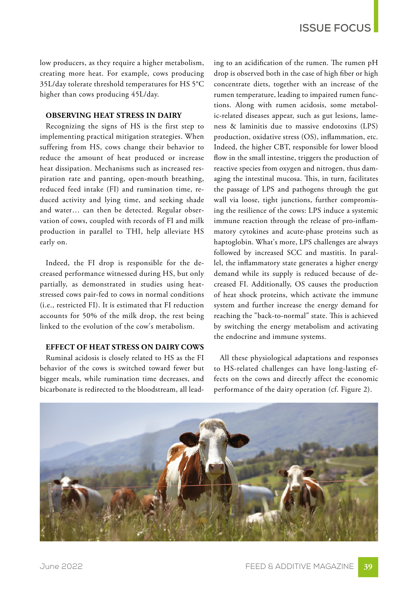low producers, as they require a higher metabolism, creating more heat. For example, cows producing 35L/day tolerate threshold temperatures for HS 5°C higher than cows producing 45L/day.

#### **OBSERVING HEAT STRESS IN DAIRY**

Recognizing the signs of HS is the first step to implementing practical mitigation strategies. When suffering from HS, cows change their behavior to reduce the amount of heat produced or increase heat dissipation. Mechanisms such as increased respiration rate and panting, open-mouth breathing, reduced feed intake (FI) and rumination time, reduced activity and lying time, and seeking shade and water… can then be detected. Regular observation of cows, coupled with records of FI and milk production in parallel to THI, help alleviate HS early on.

Indeed, the FI drop is responsible for the decreased performance witnessed during HS, but only partially, as demonstrated in studies using heatstressed cows pair-fed to cows in normal conditions (i.e., restricted FI). It is estimated that FI reduction accounts for 50% of the milk drop, the rest being linked to the evolution of the cow's metabolism.

#### **EFFECT OF HEAT STRESS ON DAIRY COWS**

Ruminal acidosis is closely related to HS as the FI behavior of the cows is switched toward fewer but bigger meals, while rumination time decreases, and bicarbonate is redirected to the bloodstream, all leading to an acidification of the rumen. The rumen pH drop is observed both in the case of high fiber or high concentrate diets, together with an increase of the rumen temperature, leading to impaired rumen functions. Along with rumen acidosis, some metabolic-related diseases appear, such as gut lesions, lameness & laminitis due to massive endotoxins (LPS) production, oxidative stress (OS), inflammation, etc. Indeed, the higher CBT, responsible for lower blood flow in the small intestine, triggers the production of reactive species from oxygen and nitrogen, thus damaging the intestinal mucosa. This, in turn, facilitates the passage of LPS and pathogens through the gut wall via loose, tight junctions, further compromising the resilience of the cows: LPS induce a systemic immune reaction through the release of pro-inflammatory cytokines and acute-phase proteins such as haptoglobin. What's more, LPS challenges are always followed by increased SCC and mastitis. In parallel, the inflammatory state generates a higher energy demand while its supply is reduced because of decreased FI. Additionally, OS causes the production of heat shock proteins, which activate the immune system and further increase the energy demand for reaching the "back-to-normal" state. This is achieved by switching the energy metabolism and activating the endocrine and immune systems.

All these physiological adaptations and responses to HS-related challenges can have long-lasting effects on the cows and directly affect the economic performance of the dairy operation (cf. Figure 2).